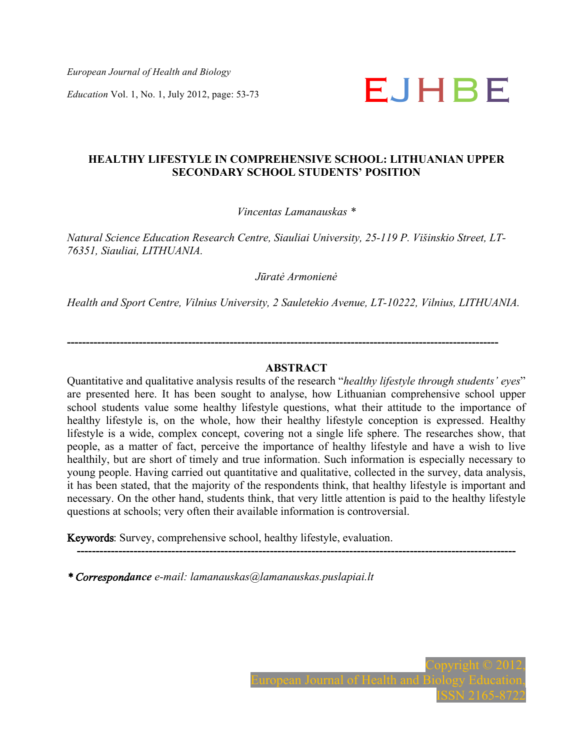*European Journal of Health and Biology* 



# **HEALTHY LIFESTYLE IN COMPREHENSIVE SCHOOL: LITHUANIAN UPPER SECONDARY SCHOOL STUDENTS' POSITION**

## *Vincentas Lamanauskas \**

*Natural Science Education Research Centre, Siauliai University, 25-119 P. Višinskio Street, LT-76351, Siauliai, LITHUANIA.*

*Jūratė Armonienė*

*Health and Sport Centre, Vilnius University, 2 Sauletekio Avenue, LT-10222, Vilnius, LITHUANIA.*

**------------------------------------------------------------------------------------------------------------------** 

### **ABSTRACT**

Quantitative and qualitative analysis results of the research "*healthy lifestyle through students' eyes*" are presented here. It has been sought to analyse, how Lithuanian comprehensive school upper school students value some healthy lifestyle questions, what their attitude to the importance of healthy lifestyle is, on the whole, how their healthy lifestyle conception is expressed. Healthy lifestyle is a wide, complex concept, covering not a single life sphere. The researches show, that people, as a matter of fact, perceive the importance of healthy lifestyle and have a wish to live healthily, but are short of timely and true information. Such information is especially necessary to young people. Having carried out quantitative and qualitative, collected in the survey, data analysis, it has been stated, that the majority of the respondents think, that healthy lifestyle is important and necessary. On the other hand, students think, that very little attention is paid to the healthy lifestyle questions at schools; very often their available information is controversial.

Keywords: Survey, comprehensive school, healthy lifestyle, evaluation.

**--------------------------------------------------------------------------------------------------------------------** 

*\* Correspondance e-mail: lamanauskas@lamanauskas.puslapiai.lt*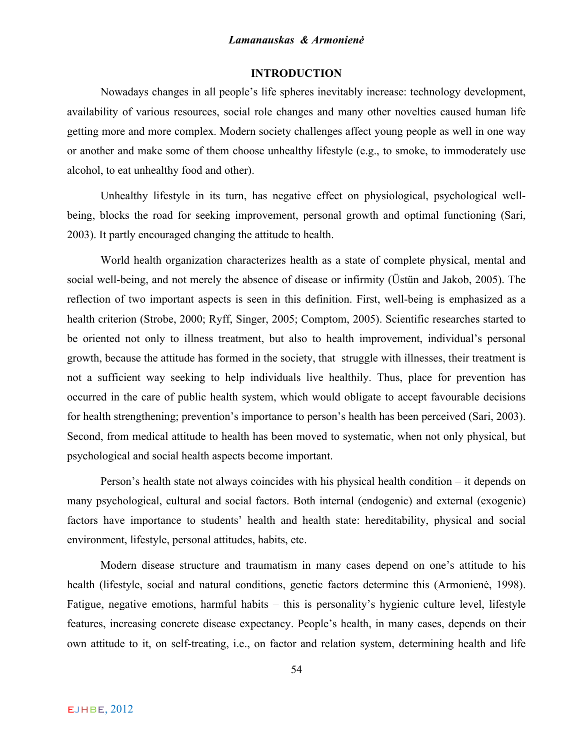## **INTRODUCTION**

Nowadays changes in all people's life spheres inevitably increase: technology development, availability of various resources, social role changes and many other novelties caused human life getting more and more complex. Modern society challenges affect young people as well in one way or another and make some of them choose unhealthy lifestyle (e.g., to smoke, to immoderately use alcohol, to eat unhealthy food and other).

Unhealthy lifestyle in its turn, has negative effect on physiological, psychological wellbeing, blocks the road for seeking improvement, personal growth and optimal functioning (Sari, 2003). It partly encouraged changing the attitude to health.

World health organization characterizes health as a state of complete physical, mental and social well-being, and not merely the absence of disease or infirmity (Üstün and Jakob, 2005). The reflection of two important aspects is seen in this definition. First, well-being is emphasized as a health criterion (Strobe, 2000; Ryff, Singer, 2005; Comptom, 2005). Scientific researches started to be oriented not only to illness treatment, but also to health improvement, individual's personal growth, because the attitude has formed in the society, that struggle with illnesses, their treatment is not a sufficient way seeking to help individuals live healthily. Thus, place for prevention has occurred in the care of public health system, which would obligate to accept favourable decisions for health strengthening; prevention's importance to person's health has been perceived (Sari, 2003). Second, from medical attitude to health has been moved to systematic, when not only physical, but psychological and social health aspects become important.

Person's health state not always coincides with his physical health condition – it depends on many psychological, cultural and social factors. Both internal (endogenic) and external (exogenic) factors have importance to students' health and health state: hereditability, physical and social environment, lifestyle, personal attitudes, habits, etc.

Modern disease structure and traumatism in many cases depend on one's attitude to his health (lifestyle, social and natural conditions, genetic factors determine this (Armonienė, 1998). Fatigue, negative emotions, harmful habits – this is personality's hygienic culture level, lifestyle features, increasing concrete disease expectancy. People's health, in many cases, depends on their own attitude to it, on self-treating, i.e., on factor and relation system, determining health and life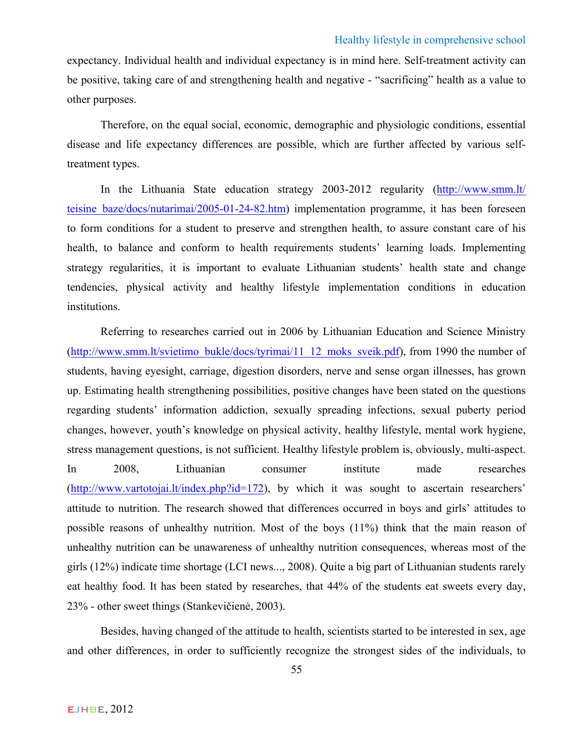expectancy. Individual health and individual expectancy is in mind here. Self-treatment activity can be positive, taking care of and strengthening health and negative - "sacrificing" health as a value to other purposes.

Therefore, on the equal social, economic, demographic and physiologic conditions, essential disease and life expectancy differences are possible, which are further affected by various selftreatment types.

In the Lithuania State education strategy 2003-2012 regularity (http://www.smm.lt/ teisine baze/docs/nutarimai/2005-01-24-82.htm) implementation programme, it has been foreseen to form conditions for a student to preserve and strengthen health, to assure constant care of his health, to balance and conform to health requirements students' learning loads. Implementing strategy regularities, it is important to evaluate Lithuanian students' health state and change tendencies, physical activity and healthy lifestyle implementation conditions in education institutions.

Referring to researches carried out in 2006 by Lithuanian Education and Science Ministry (http://www.smm.lt/svietimo\_bukle/docs/tyrimai/11\_12\_moks\_sveik.pdf), from 1990 the number of students, having eyesight, carriage, digestion disorders, nerve and sense organ illnesses, has grown up. Estimating health strengthening possibilities, positive changes have been stated on the questions regarding students' information addiction, sexually spreading infections, sexual puberty period changes, however, youth's knowledge on physical activity, healthy lifestyle, mental work hygiene, stress management questions, is not sufficient. Healthy lifestyle problem is, obviously, multi-aspect. In 2008, Lithuanian consumer institute made researches (http://www.vartotojai.lt/index.php?id=172), by which it was sought to ascertain researchers' attitude to nutrition. The research showed that differences occurred in boys and girls' attitudes to possible reasons of unhealthy nutrition. Most of the boys (11%) think that the main reason of unhealthy nutrition can be unawareness of unhealthy nutrition consequences, whereas most of the girls (12%) indicate time shortage (LCI news..., 2008). Quite a big part of Lithuanian students rarely eat healthy food. It has been stated by researches, that 44% of the students eat sweets every day, 23% - other sweet things (Stankevičienė, 2003).

Besides, having changed of the attitude to health, scientists started to be interested in sex, age and other differences, in order to sufficiently recognize the strongest sides of the individuals, to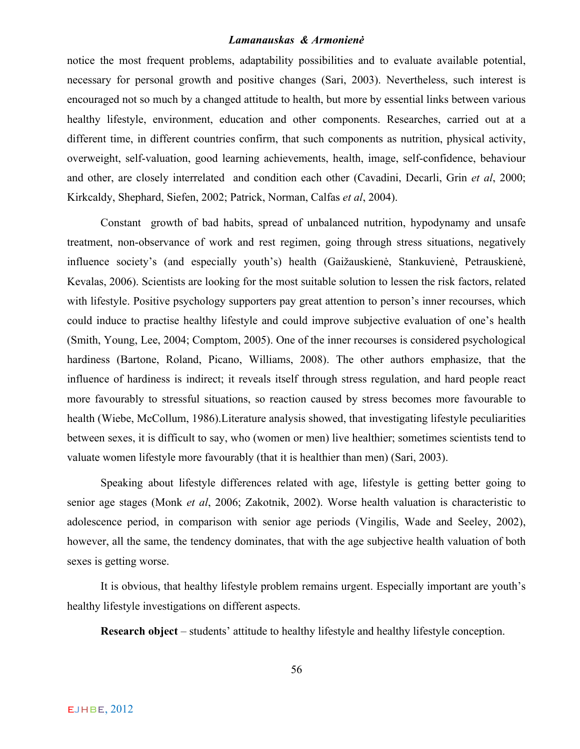notice the most frequent problems, adaptability possibilities and to evaluate available potential, necessary for personal growth and positive changes (Sari, 2003). Nevertheless, such interest is encouraged not so much by a changed attitude to health, but more by essential links between various healthy lifestyle, environment, education and other components. Researches, carried out at a different time, in different countries confirm, that such components as nutrition, physical activity, overweight, self-valuation, good learning achievements, health, image, self-confidence, behaviour and other, are closely interrelated and condition each other (Cavadini, Decarli, Grin *et al*, 2000; Kirkcaldy, Shephard, Siefen, 2002; Patrick, Norman, Calfas *et al*, 2004).

Constant growth of bad habits, spread of unbalanced nutrition, hypodynamy and unsafe treatment, non-observance of work and rest regimen, going through stress situations, negatively influence society's (and especially youth's) health (Gaižauskienė, Stankuvienė, Petrauskienė, Kevalas, 2006). Scientists are looking for the most suitable solution to lessen the risk factors, related with lifestyle. Positive psychology supporters pay great attention to person's inner recourses, which could induce to practise healthy lifestyle and could improve subjective evaluation of one's health (Smith, Young, Lee, 2004; Comptom, 2005). One of the inner recourses is considered psychological hardiness (Bartone, Roland, Picano, Williams, 2008). The other authors emphasize, that the influence of hardiness is indirect; it reveals itself through stress regulation, and hard people react more favourably to stressful situations, so reaction caused by stress becomes more favourable to health (Wiebe, McCollum, 1986).Literature analysis showed, that investigating lifestyle peculiarities between sexes, it is difficult to say, who (women or men) live healthier; sometimes scientists tend to valuate women lifestyle more favourably (that it is healthier than men) (Sari, 2003).

Speaking about lifestyle differences related with age, lifestyle is getting better going to senior age stages (Monk *et al*, 2006; Zakotnik, 2002). Worse health valuation is characteristic to adolescence period, in comparison with senior age periods (Vingilis, Wade and Seeley, 2002), however, all the same, the tendency dominates, that with the age subjective health valuation of both sexes is getting worse.

It is obvious, that healthy lifestyle problem remains urgent. Especially important are youth's healthy lifestyle investigations on different aspects.

**Research object** – students' attitude to healthy lifestyle and healthy lifestyle conception.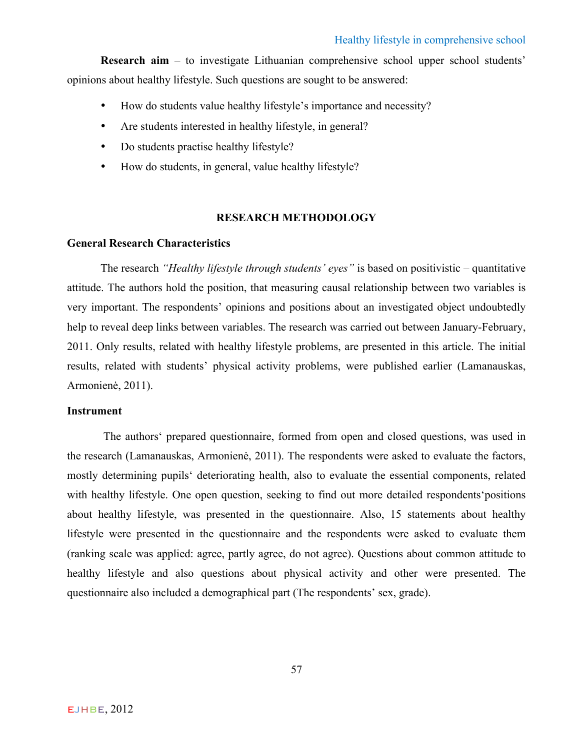**Research aim** – to investigate Lithuanian comprehensive school upper school students' opinions about healthy lifestyle. Such questions are sought to be answered:

- How do students value healthy lifestyle's importance and necessity?
- Are students interested in healthy lifestyle, in general?
- Do students practise healthy lifestyle?
- How do students, in general, value healthy lifestyle?

# **RESEARCH METHODOLOGY**

## **General Research Characteristics**

The research *"Healthy lifestyle through students' eyes"* is based on positivistic – quantitative attitude. The authors hold the position, that measuring causal relationship between two variables is very important. The respondents' opinions and positions about an investigated object undoubtedly help to reveal deep links between variables. The research was carried out between January-February, 2011. Only results, related with healthy lifestyle problems, are presented in this article. The initial results, related with students' physical activity problems, were published earlier (Lamanauskas, Armonienė, 2011).

## **Instrument**

The authors' prepared questionnaire, formed from open and closed questions, was used in the research (Lamanauskas, Armonienė, 2011). The respondents were asked to evaluate the factors, mostly determining pupils' deteriorating health, also to evaluate the essential components, related with healthy lifestyle. One open question, seeking to find out more detailed respondents'positions about healthy lifestyle, was presented in the questionnaire. Also, 15 statements about healthy lifestyle were presented in the questionnaire and the respondents were asked to evaluate them (ranking scale was applied: agree, partly agree, do not agree). Questions about common attitude to healthy lifestyle and also questions about physical activity and other were presented. The questionnaire also included a demographical part (The respondents' sex, grade).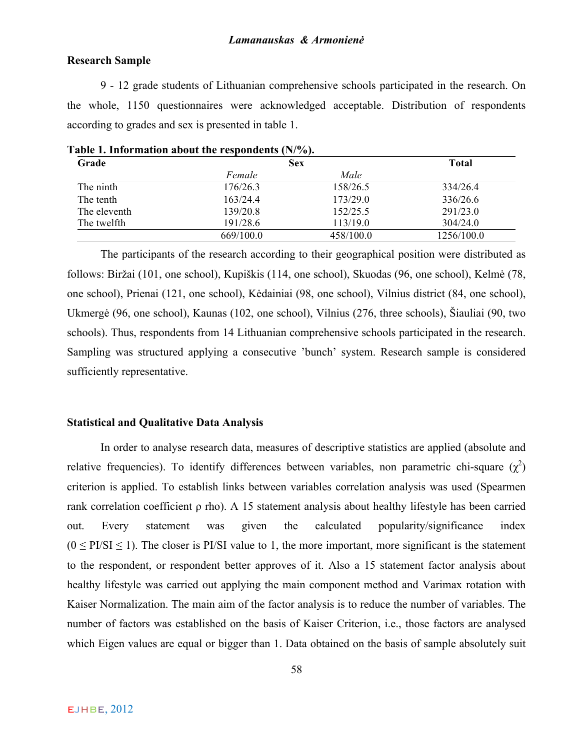# **Research Sample**

9 - 12 grade students of Lithuanian comprehensive schools participated in the research. On the whole, 1150 questionnaires were acknowledged acceptable. Distribution of respondents according to grades and sex is presented in table 1.

| Grade        |           | <b>Sex</b> |            |  |  |
|--------------|-----------|------------|------------|--|--|
|              | Female    | Male       |            |  |  |
| The ninth    | 176/26.3  | 158/26.5   | 334/26.4   |  |  |
| The tenth    | 163/24.4  | 173/29.0   | 336/26.6   |  |  |
| The eleventh | 139/20.8  | 152/25.5   | 291/23.0   |  |  |
| The twelfth  | 191/28.6  | 113/19.0   | 304/24.0   |  |  |
|              | 669/100.0 | 458/100.0  | 1256/100.0 |  |  |

**Table 1. Information about the respondents (N/%).**

The participants of the research according to their geographical position were distributed as follows: Biržai (101, one school), Kupiškis (114, one school), Skuodas (96, one school), Kelmė (78, one school), Prienai (121, one school), Kėdainiai (98, one school), Vilnius district (84, one school), Ukmergė (96, one school), Kaunas (102, one school), Vilnius (276, three schools), Šiauliai (90, two schools). Thus, respondents from 14 Lithuanian comprehensive schools participated in the research. Sampling was structured applying a consecutive 'bunch' system. Research sample is considered sufficiently representative.

# **Statistical and Qualitative Data Analysis**

In order to analyse research data, measures of descriptive statistics are applied (absolute and relative frequencies). To identify differences between variables, non parametric chi-square  $(\chi^2)$ criterion is applied. To establish links between variables correlation analysis was used (Spearmen rank correlation coefficient ρ rho). A 15 statement analysis about healthy lifestyle has been carried out. Every statement was given the calculated popularity/significance index  $(0 \leq PISI \leq 1)$ . The closer is PI/SI value to 1, the more important, more significant is the statement to the respondent, or respondent better approves of it. Also a 15 statement factor analysis about healthy lifestyle was carried out applying the main component method and Varimax rotation with Kaiser Normalization. The main aim of the factor analysis is to reduce the number of variables. The number of factors was established on the basis of Kaiser Criterion, i.e., those factors are analysed which Eigen values are equal or bigger than 1. Data obtained on the basis of sample absolutely suit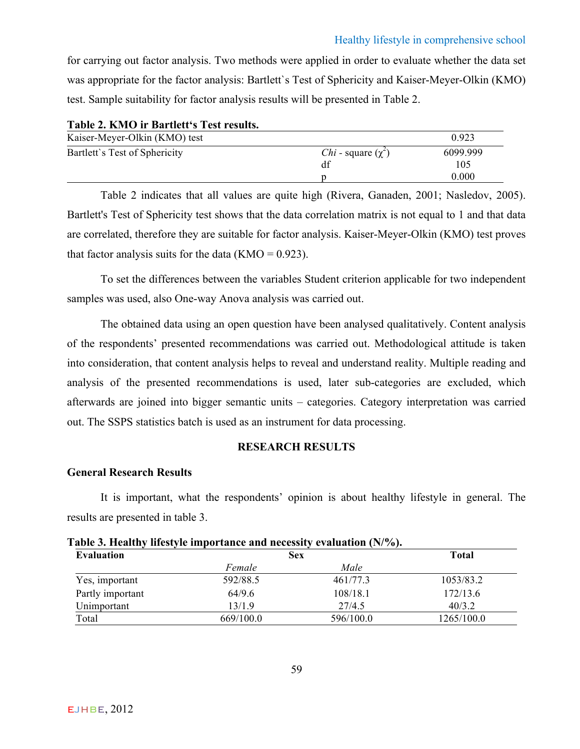for carrying out factor analysis. Two methods were applied in order to evaluate whether the data set was appropriate for the factor analysis: Bartlett`s Test of Sphericity and Kaiser-Meyer-Olkin (KMO) test. Sample suitability for factor analysis results will be presented in Table 2.

| TWOTA WITHOUT THE TANK ALONE OF TANK I AN WILLOW |                                |          |
|--------------------------------------------------|--------------------------------|----------|
| Kaiser-Meyer-Olkin (KMO) test                    |                                | 0.923    |
| Bartlett's Test of Sphericity                    | <i>Chi</i> - square $(\chi^2)$ | 6099.999 |
|                                                  | df                             | 105      |
|                                                  |                                | 0.000    |

**Table 2. KMO ir Bartlett's Test results.**

Table 2 indicates that all values are quite high (Rivera, Ganaden, 2001; Nasledov, 2005). Bartlett's Test of Sphericity test shows that the data correlation matrix is not equal to 1 and that data are correlated, therefore they are suitable for factor analysis. Kaiser-Meyer-Olkin (KMO) test proves that factor analysis suits for the data  $(KMO = 0.923)$ .

To set the differences between the variables Student criterion applicable for two independent samples was used, also One-way Anova analysis was carried out.

The obtained data using an open question have been analysed qualitatively. Content analysis of the respondents' presented recommendations was carried out. Methodological attitude is taken into consideration, that content analysis helps to reveal and understand reality. Multiple reading and analysis of the presented recommendations is used, later sub-categories are excluded, which afterwards are joined into bigger semantic units – categories. Category interpretation was carried out. The SSPS statistics batch is used as an instrument for data processing.

# **RESEARCH RESULTS**

# **General Research Results**

It is important, what the respondents' opinion is about healthy lifestyle in general. The results are presented in table 3.

| Lable 3. Healthy lifestyle importance and necessity evaluation (N/%). |           |            |            |  |  |  |
|-----------------------------------------------------------------------|-----------|------------|------------|--|--|--|
| Evaluation                                                            |           | <b>Sex</b> |            |  |  |  |
|                                                                       | Female    | Male       |            |  |  |  |
| Yes, important                                                        | 592/88.5  | 461/77.3   | 1053/83.2  |  |  |  |
| Partly important                                                      | 64/9.6    | 108/18.1   | 172/13.6   |  |  |  |
| Unimportant                                                           | 13/1.9    | 27/4.5     | 40/3.2     |  |  |  |
| Total                                                                 | 669/100.0 | 596/100.0  | 1265/100.0 |  |  |  |

| Table 3. Healthy lifestyle importance and necessity evaluation (N/%). |  |  |
|-----------------------------------------------------------------------|--|--|
|-----------------------------------------------------------------------|--|--|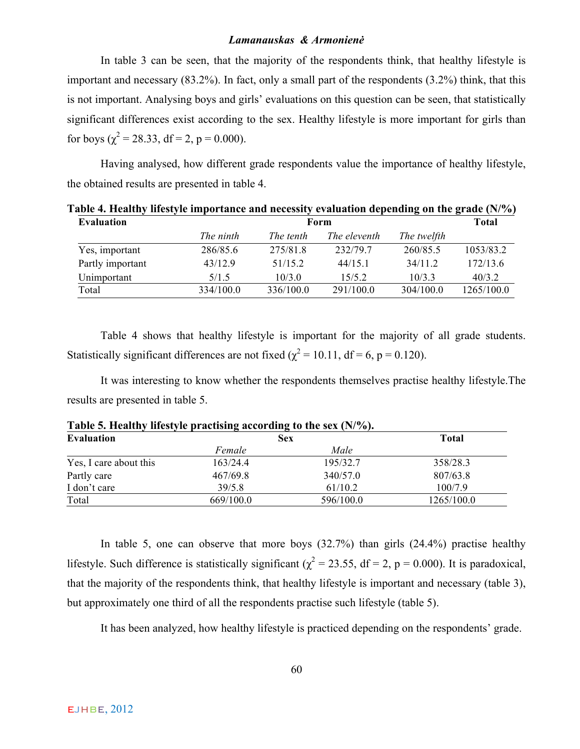In table 3 can be seen, that the majority of the respondents think, that healthy lifestyle is important and necessary (83.2%). In fact, only a small part of the respondents (3.2%) think, that this is not important. Analysing boys and girls' evaluations on this question can be seen, that statistically significant differences exist according to the sex. Healthy lifestyle is more important for girls than for boys ( $\chi^2$  = 28.33, df = 2, p = 0.000).

Having analysed, how different grade respondents value the importance of healthy lifestyle, the obtained results are presented in table 4.

| Table 4. Healthy lifestyle importance and necessity evaluation depending on the grade $(N\%)$<br><b>Evaluation</b> |           | <b>Total</b> |              |             |            |
|--------------------------------------------------------------------------------------------------------------------|-----------|--------------|--------------|-------------|------------|
|                                                                                                                    | The ninth | The tenth    | The eleventh | The twelfth |            |
| Yes, important                                                                                                     | 286/85.6  | 275/81.8     | 232/79.7     | 260/85.5    | 1053/83.2  |
| Partly important                                                                                                   | 43/12.9   | 51/15 2      | $44/15$ 1    | 34/112      | 172/13.6   |
| Unimportant                                                                                                        | 5/1.5     | 10/3.0       | 15/5.2       | 10/3.3      | 40/3.2     |
| Total                                                                                                              | 334/100.0 | 336/100.0    | 291/100.0    | 304/100.0   | 1265/100.0 |

Table 4 shows that healthy lifestyle is important for the majority of all grade students. Statistically significant differences are not fixed ( $\chi^2$  = 10.11, df = 6, p = 0.120).

It was interesting to know whether the respondents themselves practise healthy lifestyle.The results are presented in table 5.

|                        |            | $\overline{\phantom{a}}$ |              |
|------------------------|------------|--------------------------|--------------|
| <b>Evaluation</b>      | <b>Sex</b> |                          | <b>Total</b> |
|                        | Female     | Male                     |              |
| Yes, I care about this | 163/24.4   | 195/32.7                 | 358/28.3     |
| Partly care            | 467/69.8   | 340/57.0                 | 807/63.8     |
| I don't care           | 39/5.8     | 61/10.2                  | 100/7.9      |
| Total                  | 669/100.0  | 596/100.0                | 1265/100.0   |

**Table 5. Healthy lifestyle practising according to the sex (N/%).**

In table 5, one can observe that more boys  $(32.7%)$  than girls  $(24.4%)$  practise healthy lifestyle. Such difference is statistically significant ( $\chi^2$  = 23.55, df = 2, p = 0.000). It is paradoxical, that the majority of the respondents think, that healthy lifestyle is important and necessary (table 3), but approximately one third of all the respondents practise such lifestyle (table 5).

It has been analyzed, how healthy lifestyle is practiced depending on the respondents' grade.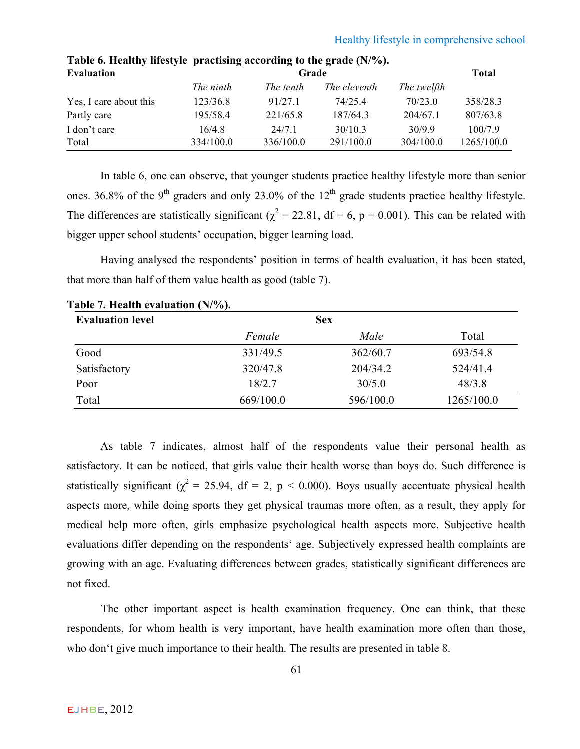| <b>Evaluation</b>      |           | Grade     |              |             |            |  |  |  |
|------------------------|-----------|-----------|--------------|-------------|------------|--|--|--|
|                        | The ninth | The tenth | The eleventh | The twelfth |            |  |  |  |
| Yes, I care about this | 123/36.8  | 91/27.1   | 74/25.4      | 70/23.0     | 358/28.3   |  |  |  |
| Partly care            | 195/58.4  | 221/65.8  | 187/64.3     | 204/67.1    | 807/63.8   |  |  |  |
| I don't care           | 16/4.8    | 24/71     | 30/10.3      | 30/9.9      | 100/7.9    |  |  |  |
| Total                  | 334/100.0 | 336/100.0 | 291/100.0    | 304/100.0   | 1265/100.0 |  |  |  |

**Table 6. Healthy lifestyle practising according to the grade (N/%).**

In table 6, one can observe, that younger students practice healthy lifestyle more than senior ones. 36.8% of the 9<sup>th</sup> graders and only 23.0% of the  $12<sup>th</sup>$  grade students practice healthy lifestyle. The differences are statistically significant ( $\chi^2$  = 22.81, df = 6, p = 0.001). This can be related with bigger upper school students' occupation, bigger learning load.

Having analysed the respondents' position in terms of health evaluation, it has been stated, that more than half of them value health as good (table 7).

| <b>Evaluation level</b> |           | <b>Sex</b> |            |
|-------------------------|-----------|------------|------------|
|                         | Female    | Male       | Total      |
| Good                    | 331/49.5  | 362/60.7   | 693/54.8   |
| Satisfactory            | 320/47.8  | 204/34.2   | 524/41.4   |
| Poor                    | 18/2.7    | 30/5.0     | 48/3.8     |
| Total                   | 669/100.0 | 596/100.0  | 1265/100.0 |

**Table 7. Health evaluation (N/%).**

As table 7 indicates, almost half of the respondents value their personal health as satisfactory. It can be noticed, that girls value their health worse than boys do. Such difference is statistically significant ( $\chi^2$  = 25.94, df = 2, p < 0.000). Boys usually accentuate physical health aspects more, while doing sports they get physical traumas more often, as a result, they apply for medical help more often, girls emphasize psychological health aspects more. Subjective health evaluations differ depending on the respondents' age. Subjectively expressed health complaints are growing with an age. Evaluating differences between grades, statistically significant differences are not fixed.

The other important aspect is health examination frequency. One can think, that these respondents, for whom health is very important, have health examination more often than those, who don't give much importance to their health. The results are presented in table 8.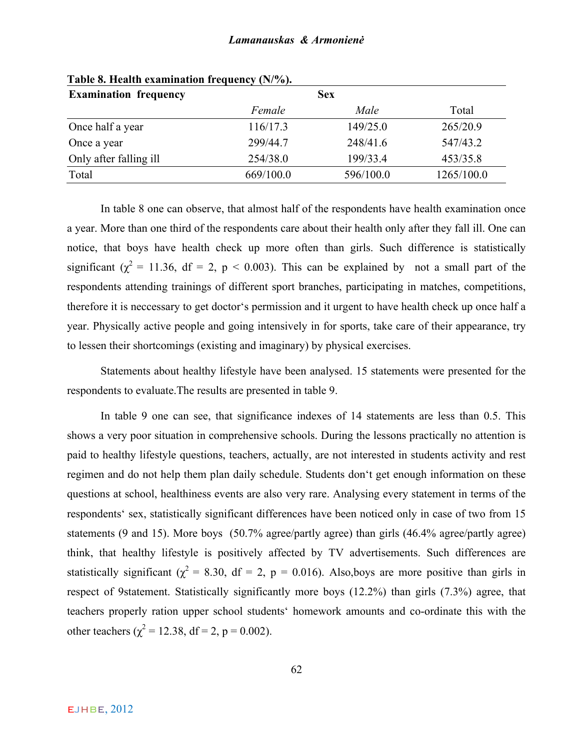| <b>Sex</b> |                                                                                                         |                                                       |
|------------|---------------------------------------------------------------------------------------------------------|-------------------------------------------------------|
|            |                                                                                                         | Total                                                 |
|            |                                                                                                         | 265/20.9                                              |
|            |                                                                                                         | 547/43.2                                              |
|            |                                                                                                         | 453/35.8                                              |
|            |                                                                                                         | 1265/100.0                                            |
|            | Table 6. Health examination Hequency (1977).<br>Female<br>116/17.3<br>299/44.7<br>254/38.0<br>669/100.0 | Male<br>149/25.0<br>248/41.6<br>199/33.4<br>596/100.0 |

**Table 8. Health examination frequency (N/%).**

In table 8 one can observe, that almost half of the respondents have health examination once a year. More than one third of the respondents care about their health only after they fall ill. One can notice, that boys have health check up more often than girls. Such difference is statistically significant ( $\chi^2$  = 11.36, df = 2, p < 0.003). This can be explained by not a small part of the respondents attending trainings of different sport branches, participating in matches, competitions, therefore it is neccessary to get doctor's permission and it urgent to have health check up once half a year. Physically active people and going intensively in for sports, take care of their appearance, try to lessen their shortcomings (existing and imaginary) by physical exercises.

Statements about healthy lifestyle have been analysed. 15 statements were presented for the respondents to evaluate.The results are presented in table 9.

In table 9 one can see, that significance indexes of 14 statements are less than 0.5. This shows a very poor situation in comprehensive schools. During the lessons practically no attention is paid to healthy lifestyle questions, teachers, actually, are not interested in students activity and rest regimen and do not help them plan daily schedule. Students don't get enough information on these questions at school, healthiness events are also very rare. Analysing every statement in terms of the respondents' sex, statistically significant differences have been noticed only in case of two from 15 statements (9 and 15). More boys (50.7% agree/partly agree) than girls (46.4% agree/partly agree) think, that healthy lifestyle is positively affected by TV advertisements. Such differences are statistically significant ( $\chi^2$  = 8.30, df = 2, p = 0.016). Also,boys are more positive than girls in respect of 9statement. Statistically significantly more boys (12.2%) than girls (7.3%) agree, that teachers properly ration upper school students' homework amounts and co-ordinate this with the other teachers ( $\chi^2 = 12.38$ , df = 2, p = 0.002).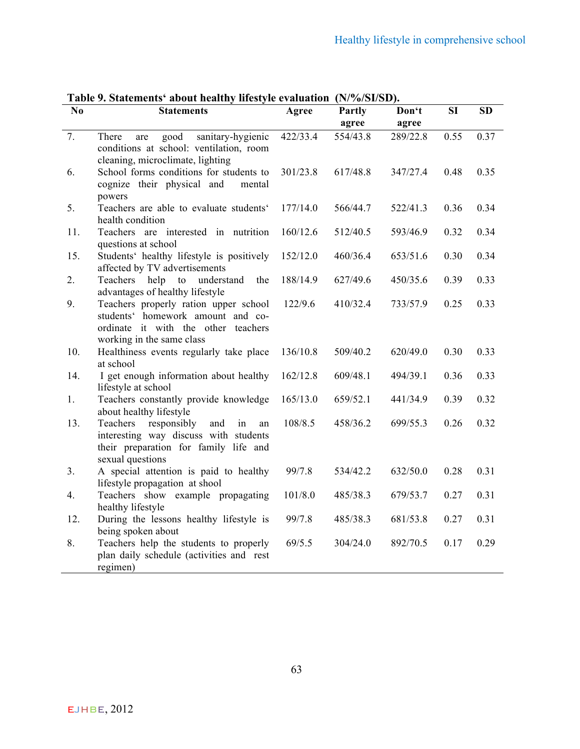| No  | radic 2. Statements -about healthy mestyle evaluation $(19/70)\beta$ r $(19/70)$<br><b>Statements</b>                                          | Agree    | <b>Partly</b> | Don't    | <b>SI</b> | <b>SD</b> |
|-----|------------------------------------------------------------------------------------------------------------------------------------------------|----------|---------------|----------|-----------|-----------|
|     |                                                                                                                                                |          | agree         | agree    |           |           |
| 7.  | sanitary-hygienic<br>good<br>There<br>are<br>conditions at school: ventilation, room<br>cleaning, microclimate, lighting                       | 422/33.4 | 554/43.8      | 289/22.8 | 0.55      | 0.37      |
| 6.  | School forms conditions for students to<br>cognize their physical and<br>mental<br>powers                                                      | 301/23.8 | 617/48.8      | 347/27.4 | 0.48      | 0.35      |
| 5.  | Teachers are able to evaluate students'<br>health condition                                                                                    | 177/14.0 | 566/44.7      | 522/41.3 | 0.36      | 0.34      |
| 11. | Teachers are interested in nutrition<br>questions at school                                                                                    | 160/12.6 | 512/40.5      | 593/46.9 | 0.32      | 0.34      |
| 15. | Students' healthy lifestyle is positively<br>affected by TV advertisements                                                                     | 152/12.0 | 460/36.4      | 653/51.6 | 0.30      | 0.34      |
| 2.  | Teachers<br>help to understand<br>the<br>advantages of healthy lifestyle                                                                       | 188/14.9 | 627/49.6      | 450/35.6 | 0.39      | 0.33      |
| 9.  | Teachers properly ration upper school<br>students' homework amount and co-<br>ordinate it with the other teachers<br>working in the same class | 122/9.6  | 410/32.4      | 733/57.9 | 0.25      | 0.33      |
| 10. | Healthiness events regularly take place<br>at school                                                                                           | 136/10.8 | 509/40.2      | 620/49.0 | 0.30      | 0.33      |
| 14. | I get enough information about healthy<br>lifestyle at school                                                                                  | 162/12.8 | 609/48.1      | 494/39.1 | 0.36      | 0.33      |
| 1.  | Teachers constantly provide knowledge<br>about healthy lifestyle                                                                               | 165/13.0 | 659/52.1      | 441/34.9 | 0.39      | 0.32      |
| 13. | Teachers responsibly<br>and<br>in<br>an<br>interesting way discuss with students<br>their preparation for family life and<br>sexual questions  | 108/8.5  | 458/36.2      | 699/55.3 | 0.26      | 0.32      |
| 3.  | A special attention is paid to healthy<br>lifestyle propagation at shool                                                                       | 99/7.8   | 534/42.2      | 632/50.0 | 0.28      | 0.31      |
| 4.  | Teachers show example propagating<br>healthy lifestyle                                                                                         | 101/8.0  | 485/38.3      | 679/53.7 | 0.27      | 0.31      |
| 12. | During the lessons healthy lifestyle is<br>being spoken about                                                                                  | 99/7.8   | 485/38.3      | 681/53.8 | 0.27      | 0.31      |
| 8.  | Teachers help the students to properly<br>plan daily schedule (activities and rest<br>regimen)                                                 | 69/5.5   | 304/24.0      | 892/70.5 | 0.17      | 0.29      |

**Table 9. Statements' about healthy lifestyle evaluation (N/%/SI/SD).**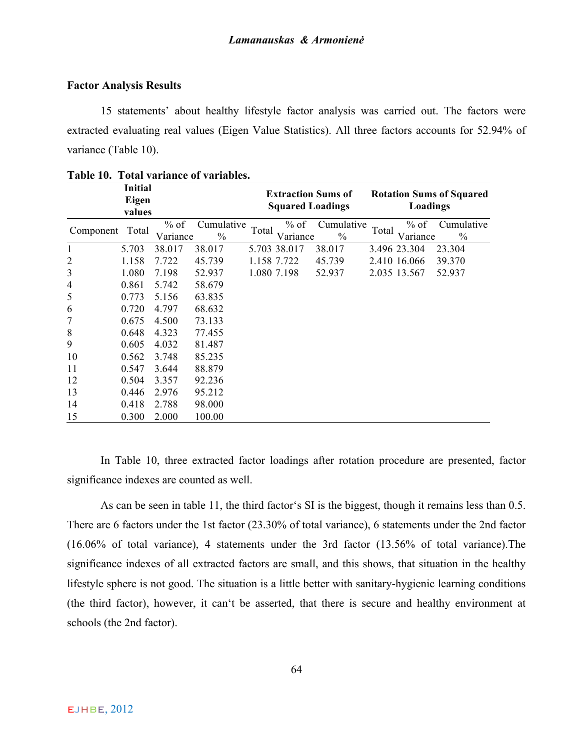# **Factor Analysis Results**

15 statements' about healthy lifestyle factor analysis was carried out. The factors were extracted evaluating real values (Eigen Value Statistics). All three factors accounts for 52.94% of variance (Table 10).

|                | <b>Initial</b><br>Eigen<br>values |                    |                             |       | <b>Squared Loadings</b> | <b>Extraction Sums of</b>   |       | Loadings         | <b>Rotation Sums of Squared</b> |
|----------------|-----------------------------------|--------------------|-----------------------------|-------|-------------------------|-----------------------------|-------|------------------|---------------------------------|
| Component      | Total                             | $%$ of<br>Variance | Cumulative<br>$\frac{0}{0}$ | Total | % of<br>Variance        | Cumulative<br>$\frac{0}{0}$ | Total | % of<br>Variance | Cumulative<br>$\frac{0}{0}$     |
| 1              | 5.703                             | 38.017             | 38.017                      |       | 5.703 38.017            | 38.017                      |       | 3.496 23.304     | 23.304                          |
| $\overline{c}$ | 1.158                             | 7.722              | 45.739                      |       | 1.158 7.722             | 45.739                      |       | 2.410 16.066     | 39.370                          |
| 3              | 1.080                             | 7.198              | 52.937                      |       | 1.080 7.198             | 52.937                      |       | 2.035 13.567     | 52.937                          |
| $\overline{4}$ | 0.861                             | 5.742              | 58.679                      |       |                         |                             |       |                  |                                 |
| 5              | 0.773                             | 5.156              | 63.835                      |       |                         |                             |       |                  |                                 |
| 6              | 0.720                             | 4.797              | 68.632                      |       |                         |                             |       |                  |                                 |
| 7              | 0.675                             | 4.500              | 73.133                      |       |                         |                             |       |                  |                                 |
| 8              | 0.648                             | 4.323              | 77.455                      |       |                         |                             |       |                  |                                 |
| 9              | 0.605                             | 4.032              | 81.487                      |       |                         |                             |       |                  |                                 |
| 10             | 0.562                             | 3.748              | 85.235                      |       |                         |                             |       |                  |                                 |
| 11             | 0.547                             | 3.644              | 88.879                      |       |                         |                             |       |                  |                                 |
| 12             | 0.504                             | 3.357              | 92.236                      |       |                         |                             |       |                  |                                 |
| 13             | 0.446                             | 2.976              | 95.212                      |       |                         |                             |       |                  |                                 |
| 14             | 0.418                             | 2.788              | 98.000                      |       |                         |                             |       |                  |                                 |
| 15             | 0.300                             | 2.000              | 100.00                      |       |                         |                             |       |                  |                                 |

**Table 10. Total variance of variables.**

In Table 10, three extracted factor loadings after rotation procedure are presented, factor significance indexes are counted as well.

As can be seen in table 11, the third factor's SI is the biggest, though it remains less than 0.5. There are 6 factors under the 1st factor (23.30% of total variance), 6 statements under the 2nd factor (16.06% of total variance), 4 statements under the 3rd factor (13.56% of total variance).The significance indexes of all extracted factors are small, and this shows, that situation in the healthy lifestyle sphere is not good. The situation is a little better with sanitary-hygienic learning conditions (the third factor), however, it can't be asserted, that there is secure and healthy environment at schools (the 2nd factor).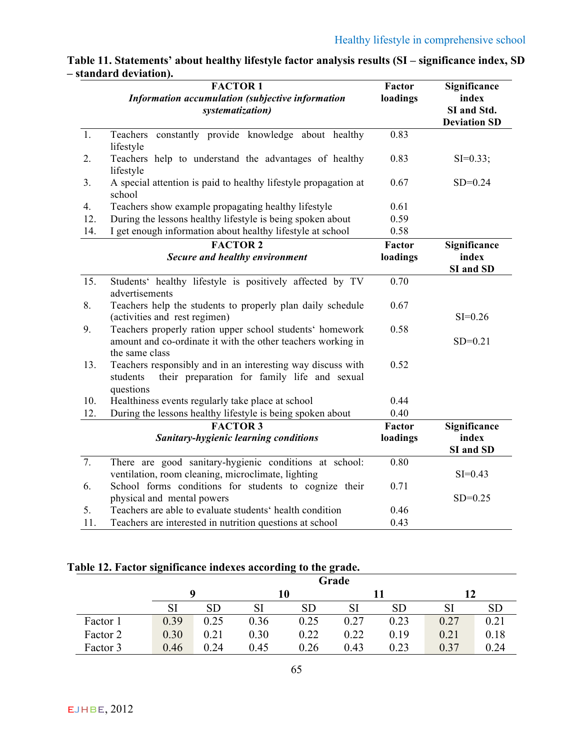|                  | <b>FACTOR1</b><br>Information accumulation (subjective information<br>systematization)                                                     | Factor<br>loadings | Significance<br>index<br>SI and Std.<br><b>Deviation SD</b> |
|------------------|--------------------------------------------------------------------------------------------------------------------------------------------|--------------------|-------------------------------------------------------------|
| 1.               | constantly provide knowledge about healthy<br>Teachers<br>lifestyle                                                                        | 0.83               |                                                             |
| 2.               | Teachers help to understand the advantages of healthy<br>lifestyle                                                                         | 0.83               | $SI=0.33;$                                                  |
| 3.               | A special attention is paid to healthy lifestyle propagation at<br>school                                                                  | 0.67               | $SD = 0.24$                                                 |
| 4.               | Teachers show example propagating healthy lifestyle                                                                                        | 0.61               |                                                             |
| 12.              | During the lessons healthy lifestyle is being spoken about                                                                                 | 0.59               |                                                             |
| 14.              | I get enough information about healthy lifestyle at school                                                                                 | 0.58               |                                                             |
|                  | <b>FACTOR 2</b>                                                                                                                            | Factor             | Significance                                                |
|                  | Secure and healthy environment                                                                                                             | loadings           | index                                                       |
|                  |                                                                                                                                            |                    | SI and SD                                                   |
| 15.              | Students' healthy lifestyle is positively affected by TV<br>advertisements                                                                 | 0.70               |                                                             |
| 8.               | Teachers help the students to properly plan daily schedule<br>(activities and rest regimen)                                                | 0.67               | $SI = 0.26$                                                 |
| 9.               | Teachers properly ration upper school students' homework<br>amount and co-ordinate it with the other teachers working in<br>the same class | 0.58               | $SD = 0.21$                                                 |
| 13.              | Teachers responsibly and in an interesting way discuss with<br>their preparation for family life and sexual<br>students<br>questions       | 0.52               |                                                             |
| 10.              | Healthiness events regularly take place at school                                                                                          | 0.44               |                                                             |
| 12.              | During the lessons healthy lifestyle is being spoken about                                                                                 | 0.40               |                                                             |
|                  | <b>FACTOR 3</b>                                                                                                                            | Factor             | Significance                                                |
|                  | <b>Sanitary-hygienic learning conditions</b>                                                                                               | loadings           | index<br>SI and SD                                          |
| $\overline{7}$ . | There are good sanitary-hygienic conditions at school:<br>ventilation, room cleaning, microclimate, lighting                               | 0.80               | $SI = 0.43$                                                 |
| 6.               | School forms conditions for students to cognize their<br>physical and mental powers                                                        | 0.71               | $SD = 0.25$                                                 |
| 5.               | Teachers are able to evaluate students' health condition                                                                                   | 0.46               |                                                             |
| 11.              | Teachers are interested in nutrition questions at school                                                                                   | 0.43               |                                                             |

# **Table 11. Statements' about healthy lifestyle factor analysis results (SI – significance index, SD – standard deviation).**

# **Table 12. Factor significance indexes according to the grade.**

|          | Grade |      |      |      |      |           |      |      |
|----------|-------|------|------|------|------|-----------|------|------|
|          |       |      | 10   |      |      |           | 12   |      |
|          | SI    |      |      | SD   |      | <b>SD</b> |      |      |
| Factor 1 | 0.39  | 0.25 | 0.36 | 0.25 | 0.27 | 0.23      | 0.27 | 0.21 |
| Factor 2 | 0.30  | 0.21 | 0.30 | 0.22 | 0.22 | 0.19      | 0.21 | 0.18 |
| Factor 3 | 0.46  | 0.24 | 0.45 | 0.26 | 0.43 | 0.23      | 0.37 | 0.24 |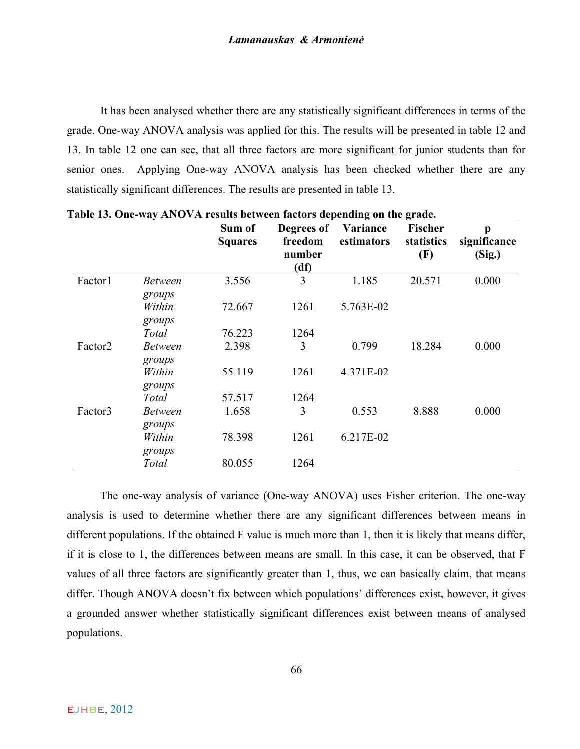It has been analysed whether there are any statistically significant differences in terms of the grade. One-way ANOVA analysis was applied for this. The results will be presented in table 12 and 13. In table 12 one can see, that all three factors are more significant for junior students than for senior ones. Applying One-way ANOVA analysis has been checked whether there are any statistically significant differences. The results are presented in table 13.

|                     |                          | Sum of<br><b>Squares</b> | Degrees of<br>freedom<br>number<br>(df) | Variance<br>estimators | <b>Fischer</b><br>statistics<br>(F) | p<br>significance<br>(Sig.) |
|---------------------|--------------------------|--------------------------|-----------------------------------------|------------------------|-------------------------------------|-----------------------------|
| Factor1             | <b>Between</b><br>groups | 3.556                    | 3                                       | 1.185                  | 20.571                              | 0.000                       |
|                     | Within<br>groups         | 72.667                   | 1261                                    | 5.763E-02              |                                     |                             |
|                     | Total                    | 76.223                   | 1264                                    |                        |                                     |                             |
| Factor <sub>2</sub> | <b>Between</b><br>groups | 2.398                    | 3                                       | 0.799                  | 18.284                              | 0.000                       |
|                     | Within<br>groups         | 55.119                   | 1261                                    | 4.371E-02              |                                     |                             |
|                     | Total                    | 57.517                   | 1264                                    |                        |                                     |                             |
| Factor3             | <b>Between</b><br>groups | 1.658                    | 3                                       | 0.553                  | 8.888                               | 0.000                       |
|                     | Within<br>groups         | 78.398                   | 1261                                    | 6.217E-02              |                                     |                             |
|                     | Total                    | 80.055                   | 1264                                    |                        |                                     |                             |

**Table 13. One-way ANOVA results between factors depending on the grade.**

The one-way analysis of variance (One-way ANOVA) uses Fisher criterion. The one-way analysis is used to determine whether there are any significant differences between means in different populations. If the obtained F value is much more than 1, then it is likely that means differ, if it is close to 1, the differences between means are small. In this case, it can be observed, that F values of all three factors are significantly greater than 1, thus, we can basically claim, that means differ. Though ANOVA doesn't fix between which populations' differences exist, however, it gives a grounded answer whether statistically significant differences exist between means of analysed populations.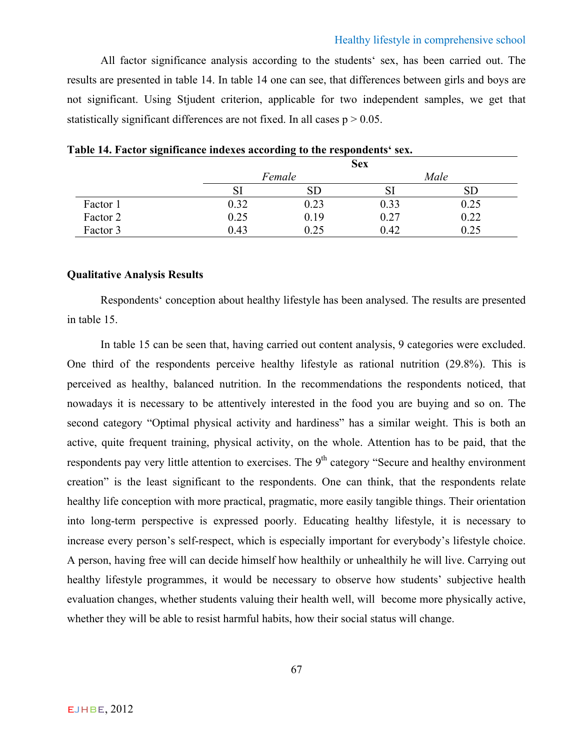## Healthy lifestyle in comprehensive school

All factor significance analysis according to the students' sex, has been carried out. The results are presented in table 14. In table 14 one can see, that differences between girls and boys are not significant. Using Stjudent criterion, applicable for two independent samples, we get that statistically significant differences are not fixed. In all cases  $p > 0.05$ .

|          |      |        | <b>Sex</b> |            |
|----------|------|--------|------------|------------|
|          |      | Female |            | Male       |
|          |      |        |            | ${\rm SD}$ |
| Factor 1 | 0.32 | 0.23   | 0.33       | 0.25       |
| Factor 2 | 0.25 | 0.19   | 0.27       | 0.22       |
| Factor 3 | 0.43 | 0.25   | 0.42       | 0.25       |

|  |  |  |  |  |  | Table 14. Factor significance indexes according to the respondents' sex. |  |
|--|--|--|--|--|--|--------------------------------------------------------------------------|--|
|--|--|--|--|--|--|--------------------------------------------------------------------------|--|

# **Qualitative Analysis Results**

Respondents' conception about healthy lifestyle has been analysed. The results are presented in table 15.

In table 15 can be seen that, having carried out content analysis, 9 categories were excluded. One third of the respondents perceive healthy lifestyle as rational nutrition (29.8%). This is perceived as healthy, balanced nutrition. In the recommendations the respondents noticed, that nowadays it is necessary to be attentively interested in the food you are buying and so on. The second category "Optimal physical activity and hardiness" has a similar weight. This is both an active, quite frequent training, physical activity, on the whole. Attention has to be paid, that the respondents pay very little attention to exercises. The 9<sup>th</sup> category "Secure and healthy environment creation" is the least significant to the respondents. One can think, that the respondents relate healthy life conception with more practical, pragmatic, more easily tangible things. Their orientation into long-term perspective is expressed poorly. Educating healthy lifestyle, it is necessary to increase every person's self-respect, which is especially important for everybody's lifestyle choice. A person, having free will can decide himself how healthily or unhealthily he will live. Carrying out healthy lifestyle programmes, it would be necessary to observe how students' subjective health evaluation changes, whether students valuing their health well, will become more physically active, whether they will be able to resist harmful habits, how their social status will change.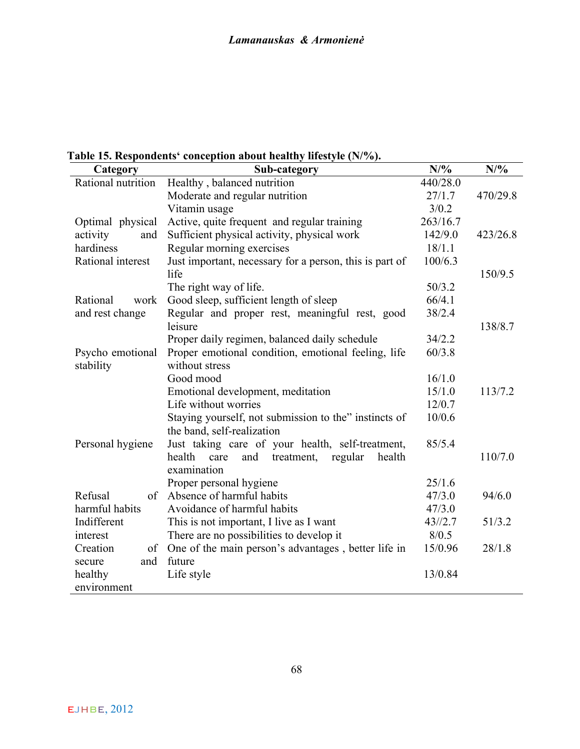**Table 15. Respondents' conception about healthy lifestyle (N/%).**

| Category           | Sub-category                                             | N/%      | $N/\%$   |
|--------------------|----------------------------------------------------------|----------|----------|
| Rational nutrition | Healthy, balanced nutrition                              | 440/28.0 |          |
|                    | Moderate and regular nutrition                           | 27/1.7   | 470/29.8 |
|                    | Vitamin usage                                            | 3/0.2    |          |
| Optimal physical   | Active, quite frequent and regular training              | 263/16.7 |          |
| activity<br>and    | Sufficient physical activity, physical work              | 142/9.0  | 423/26.8 |
| hardiness          | Regular morning exercises                                | 18/1.1   |          |
| Rational interest  | Just important, necessary for a person, this is part of  | 100/6.3  |          |
|                    | life                                                     |          | 150/9.5  |
|                    | The right way of life.                                   | 50/3.2   |          |
| Rational<br>work   | Good sleep, sufficient length of sleep                   | 66/4.1   |          |
| and rest change    | Regular and proper rest, meaningful rest, good           | 38/2.4   |          |
|                    | leisure                                                  |          | 138/8.7  |
|                    | Proper daily regimen, balanced daily schedule            | 34/2.2   |          |
| Psycho emotional   | Proper emotional condition, emotional feeling, life      | 60/3.8   |          |
| stability          | without stress                                           |          |          |
|                    | Good mood                                                | 16/1.0   |          |
|                    | Emotional development, meditation                        | 15/1.0   | 113/7.2  |
|                    | Life without worries                                     | 12/0.7   |          |
|                    | Staying yourself, not submission to the" instincts of    | 10/0.6   |          |
|                    | the band, self-realization                               |          |          |
| Personal hygiene   | Just taking care of your health, self-treatment,         | 85/5.4   |          |
|                    | health<br>and<br>treatment,<br>regular<br>health<br>care |          | 110/7.0  |
|                    | examination                                              |          |          |
|                    | Proper personal hygiene                                  | 25/1.6   |          |
| Refusal<br>of      | Absence of harmful habits                                | 47/3.0   | 94/6.0   |
| harmful habits     | Avoidance of harmful habits                              | 47/3.0   |          |
| Indifferent        | This is not important, I live as I want                  | 43/12.7  | 51/3.2   |
| interest           | There are no possibilities to develop it                 | 8/0.5    |          |
| Creation<br>of     | One of the main person's advantages, better life in      | 15/0.96  | 28/1.8   |
| and<br>secure      | future                                                   |          |          |
| healthy            | Life style                                               | 13/0.84  |          |
| environment        |                                                          |          |          |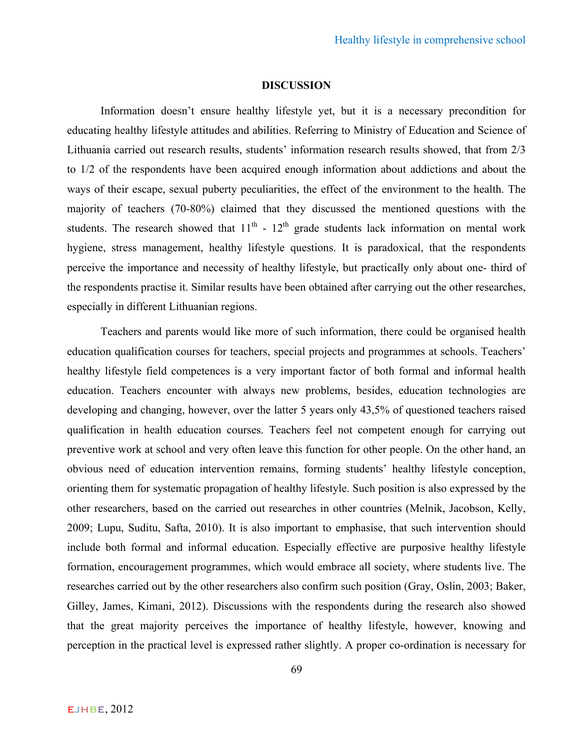# **DISCUSSION**

Information doesn't ensure healthy lifestyle yet, but it is a necessary precondition for educating healthy lifestyle attitudes and abilities. Referring to Ministry of Education and Science of Lithuania carried out research results, students' information research results showed, that from 2/3 to 1/2 of the respondents have been acquired enough information about addictions and about the ways of their escape, sexual puberty peculiarities, the effect of the environment to the health. The majority of teachers (70-80%) claimed that they discussed the mentioned questions with the students. The research showed that  $11<sup>th</sup>$  -  $12<sup>th</sup>$  grade students lack information on mental work hygiene, stress management, healthy lifestyle questions. It is paradoxical, that the respondents perceive the importance and necessity of healthy lifestyle, but practically only about one- third of the respondents practise it. Similar results have been obtained after carrying out the other researches, especially in different Lithuanian regions.

Teachers and parents would like more of such information, there could be organised health education qualification courses for teachers, special projects and programmes at schools. Teachers' healthy lifestyle field competences is a very important factor of both formal and informal health education. Teachers encounter with always new problems, besides, education technologies are developing and changing, however, over the latter 5 years only 43,5% of questioned teachers raised qualification in health education courses. Teachers feel not competent enough for carrying out preventive work at school and very often leave this function for other people. On the other hand, an obvious need of education intervention remains, forming students' healthy lifestyle conception, orienting them for systematic propagation of healthy lifestyle. Such position is also expressed by the other researchers, based on the carried out researches in other countries (Melnik, Jacobson, Kelly, 2009; Lupu, Suditu, Safta, 2010). It is also important to emphasise, that such intervention should include both formal and informal education. Especially effective are purposive healthy lifestyle formation, encouragement programmes, which would embrace all society, where students live. The researches carried out by the other researchers also confirm such position (Gray, Oslin, 2003; Baker, Gilley, James, Kimani, 2012). Discussions with the respondents during the research also showed that the great majority perceives the importance of healthy lifestyle, however, knowing and perception in the practical level is expressed rather slightly. A proper co-ordination is necessary for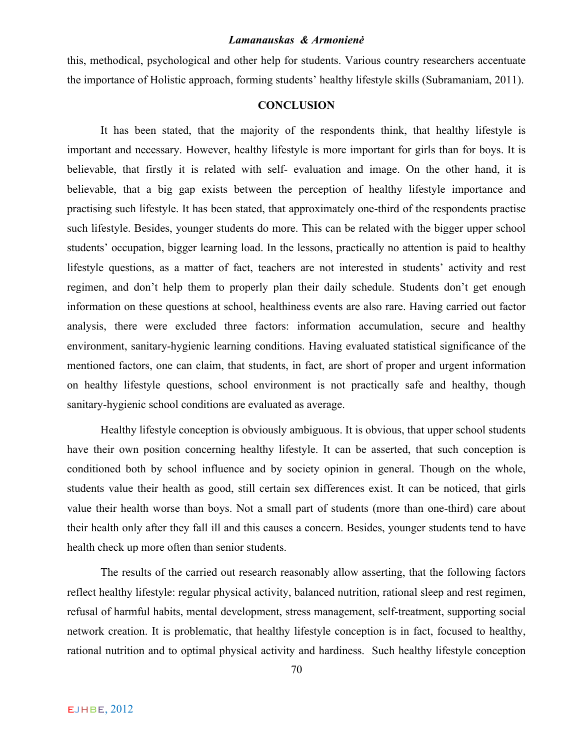this, methodical, psychological and other help for students. Various country researchers accentuate the importance of Holistic approach, forming students' healthy lifestyle skills (Subramaniam, 2011).

# **CONCLUSION**

It has been stated, that the majority of the respondents think, that healthy lifestyle is important and necessary. However, healthy lifestyle is more important for girls than for boys. It is believable, that firstly it is related with self- evaluation and image. On the other hand, it is believable, that a big gap exists between the perception of healthy lifestyle importance and practising such lifestyle. It has been stated, that approximately one-third of the respondents practise such lifestyle. Besides, younger students do more. This can be related with the bigger upper school students' occupation, bigger learning load. In the lessons, practically no attention is paid to healthy lifestyle questions, as a matter of fact, teachers are not interested in students' activity and rest regimen, and don't help them to properly plan their daily schedule. Students don't get enough information on these questions at school, healthiness events are also rare. Having carried out factor analysis, there were excluded three factors: information accumulation, secure and healthy environment, sanitary-hygienic learning conditions. Having evaluated statistical significance of the mentioned factors, one can claim, that students, in fact, are short of proper and urgent information on healthy lifestyle questions, school environment is not practically safe and healthy, though sanitary-hygienic school conditions are evaluated as average.

Healthy lifestyle conception is obviously ambiguous. It is obvious, that upper school students have their own position concerning healthy lifestyle. It can be asserted, that such conception is conditioned both by school influence and by society opinion in general. Though on the whole, students value their health as good, still certain sex differences exist. It can be noticed, that girls value their health worse than boys. Not a small part of students (more than one-third) care about their health only after they fall ill and this causes a concern. Besides, younger students tend to have health check up more often than senior students.

The results of the carried out research reasonably allow asserting, that the following factors reflect healthy lifestyle: regular physical activity, balanced nutrition, rational sleep and rest regimen, refusal of harmful habits, mental development, stress management, self-treatment, supporting social network creation. It is problematic, that healthy lifestyle conception is in fact, focused to healthy, rational nutrition and to optimal physical activity and hardiness. Such healthy lifestyle conception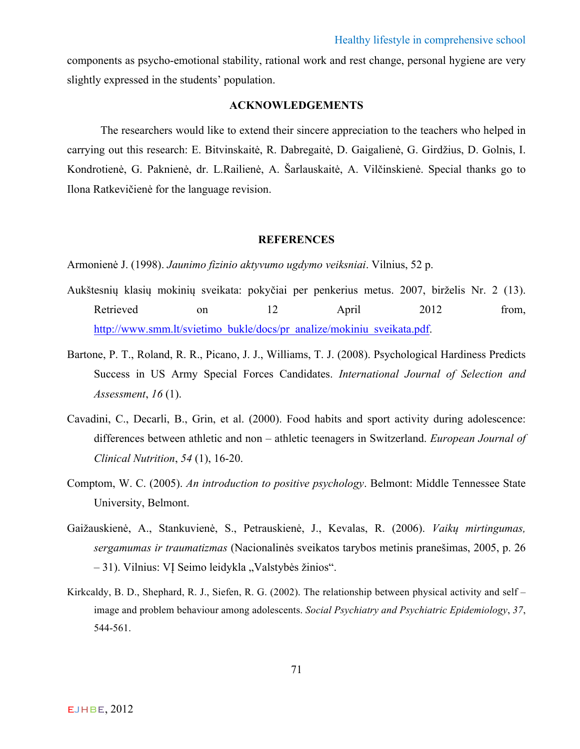components as psycho-emotional stability, rational work and rest change, personal hygiene are very slightly expressed in the students' population.

# **ACKNOWLEDGEMENTS**

The researchers would like to extend their sincere appreciation to the teachers who helped in carrying out this research: E. Bitvinskaitė, R. Dabregaitė, D. Gaigalienė, G. Girdžius, D. Golnis, I. Kondrotienė, G. Paknienė, dr. L.Railienė, A. Šarlauskaitė, A. Vilčinskienė. Special thanks go to Ilona Ratkevičienė for the language revision.

# **REFERENCES**

Armonienė J. (1998). *Jaunimo fizinio aktyvumo ugdymo veiksniai*. Vilnius, 52 p.

- Aukštesnių klasių mokinių sveikata: pokyčiai per penkerius metus. 2007, birželis Nr. 2 (13). Retrieved on 12 April 2012 from, http://www.smm.lt/svietimo\_bukle/docs/pr\_analize/mokiniu\_sveikata.pdf.
- Bartone, P. T., Roland, R. R., Picano, J. J., Williams, T. J. (2008). Psychological Hardiness Predicts Success in US Army Special Forces Candidates. *International Journal of Selection and Assessment*, *16* (1).
- Cavadini, C., Decarli, B., Grin, et al. (2000). Food habits and sport activity during adolescence: differences between athletic and non – athletic teenagers in Switzerland. *European Journal of Clinical Nutrition*, *54* (1), 16-20.
- Comptom, W. C. (2005). *An introduction to positive psychology*. Belmont: Middle Tennessee State University, Belmont.
- Gaižauskienė, A., Stankuvienė, S., Petrauskienė, J., Kevalas, R. (2006). *Vaikų mirtingumas, sergamumas ir traumatizmas* (Nacionalinės sveikatos tarybos metinis pranešimas, 2005, p. 26 – 31). Vilnius: VI Seimo leidykla "Valstybės žinios".
- Kirkcaldy, B. D., Shephard, R. J., Siefen, R. G. (2002). The relationship between physical activity and self image and problem behaviour among adolescents. *Social Psychiatry and Psychiatric Epidemiology*, *37*, 544-561.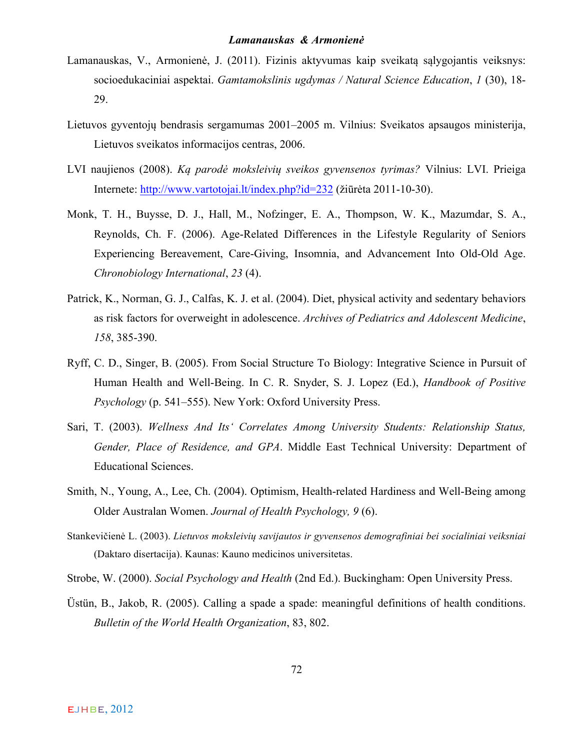- Lamanauskas, V., Armonienė, J. (2011). Fizinis aktyvumas kaip sveikatą sąlygojantis veiksnys: socioedukaciniai aspektai. *Gamtamokslinis ugdymas / Natural Science Education*, *1* (30), 18- 29.
- Lietuvos gyventojų bendrasis sergamumas 2001–2005 m. Vilnius: Sveikatos apsaugos ministerija, Lietuvos sveikatos informacijos centras, 2006.
- LVI naujienos (2008). *Ką parodė moksleivių sveikos gyvensenos tyrimas?* Vilnius: LVI. Prieiga Internete: http://www.vartotojai.lt/index.php?id=232 (žiūrėta 2011-10-30).
- Monk, T. H., Buysse, D. J., Hall, M., Nofzinger, E. A., Thompson, W. K., Mazumdar, S. A., Reynolds, Ch. F. (2006). Age-Related Differences in the Lifestyle Regularity of Seniors Experiencing Bereavement, Care-Giving, Insomnia, and Advancement Into Old-Old Age. *Chronobiology International*, *23* (4).
- Patrick, K., Norman, G. J., Calfas, K. J. et al. (2004). Diet, physical activity and sedentary behaviors as risk factors for overweight in adolescence. *Archives of Pediatrics and Adolescent Medicine*, *158*, 385-390.
- Ryff, C. D., Singer, B. (2005). From Social Structure To Biology: Integrative Science in Pursuit of Human Health and Well-Being. In C. R. Snyder, S. J. Lopez (Ed.), *Handbook of Positive Psychology* (p. 541–555). New York: Oxford University Press.
- Sari, T. (2003). *Wellness And Its' Correlates Among University Students: Relationship Status, Gender, Place of Residence, and GPA*. Middle East Technical University: Department of Educational Sciences.
- Smith, N., Young, A., Lee, Ch. (2004). Optimism, Health-related Hardiness and Well-Being among Older Australan Women. *Journal of Health Psychology, 9* (6).
- Stankevičienė L. (2003). *Lietuvos moksleivių savijautos ir gyvensenos demografiniai bei socialiniai veiksniai* (Daktaro disertacija). Kaunas: Kauno medicinos universitetas.
- Strobe, W. (2000). *Social Psychology and Health* (2nd Ed.). Buckingham: Open University Press.
- Üstün, B., Jakob, R. (2005). Calling a spade a spade: meaningful definitions of health conditions. *Bulletin of the World Health Organization*, 83, 802.